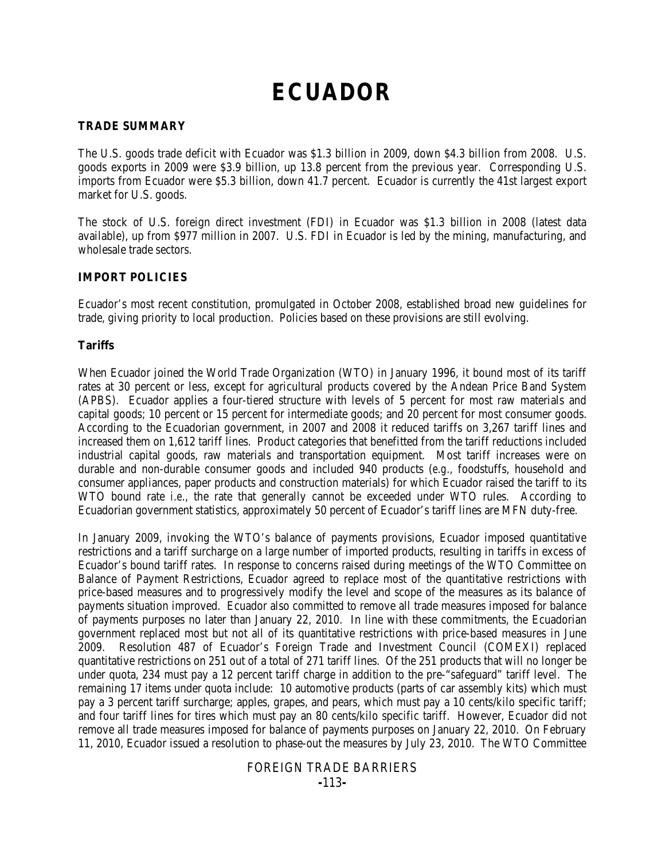# **ECUADOR**

#### **TRADE SUMMARY**

The U.S. goods trade deficit with Ecuador was \$1.3 billion in 2009, down \$4.3 billion from 2008. U.S. goods exports in 2009 were \$3.9 billion, up 13.8 percent from the previous year. Corresponding U.S. imports from Ecuador were \$5.3 billion, down 41.7 percent. Ecuador is currently the 41st largest export market for U.S. goods.

The stock of U.S. foreign direct investment (FDI) in Ecuador was \$1.3 billion in 2008 (latest data available), up from \$977 million in 2007. U.S. FDI in Ecuador is led by the mining, manufacturing, and wholesale trade sectors.

#### **IMPORT POLICIES**

Ecuador's most recent constitution, promulgated in October 2008, established broad new guidelines for trade, giving priority to local production. Policies based on these provisions are still evolving.

#### **Tariffs**

When Ecuador joined the World Trade Organization (WTO) in January 1996, it bound most of its tariff rates at 30 percent or less, except for agricultural products covered by the Andean Price Band System (APBS). Ecuador applies a four-tiered structure with levels of 5 percent for most raw materials and capital goods; 10 percent or 15 percent for intermediate goods; and 20 percent for most consumer goods. According to the Ecuadorian government, in 2007 and 2008 it reduced tariffs on 3,267 tariff lines and increased them on 1,612 tariff lines. Product categories that benefitted from the tariff reductions included industrial capital goods, raw materials and transportation equipment. Most tariff increases were on durable and non-durable consumer goods and included 940 products (*e.g.,* foodstuffs, household and consumer appliances, paper products and construction materials) for which Ecuador raised the tariff to its WTO bound rate *i.e*., the rate that generally cannot be exceeded under WTO rules. According to Ecuadorian government statistics, approximately 50 percent of Ecuador's tariff lines are MFN duty-free.

In January 2009, invoking the WTO's balance of payments provisions, Ecuador imposed quantitative restrictions and a tariff surcharge on a large number of imported products, resulting in tariffs in excess of Ecuador's bound tariff rates. In response to concerns raised during meetings of the WTO Committee on Balance of Payment Restrictions, Ecuador agreed to replace most of the quantitative restrictions with price-based measures and to progressively modify the level and scope of the measures as its balance of payments situation improved. Ecuador also committed to remove all trade measures imposed for balance of payments purposes no later than January 22, 2010. In line with these commitments, the Ecuadorian government replaced most but not all of its quantitative restrictions with price-based measures in June 2009. Resolution 487 of Ecuador's Foreign Trade and Investment Council (COMEXI) replaced quantitative restrictions on 251 out of a total of 271 tariff lines. Of the 251 products that will no longer be under quota, 234 must pay a 12 percent tariff charge in addition to the pre-"safeguard" tariff level. The remaining 17 items under quota include: 10 automotive products (parts of car assembly kits) which must pay a 3 percent tariff surcharge; apples, grapes, and pears, which must pay a 10 cents/kilo specific tariff; and four tariff lines for tires which must pay an 80 cents/kilo specific tariff. However, Ecuador did not remove all trade measures imposed for balance of payments purposes on January 22, 2010. On February 11, 2010, Ecuador issued a resolution to phase-out the measures by July 23, 2010. The WTO Committee

# FOREIGN TRADE BARRIERS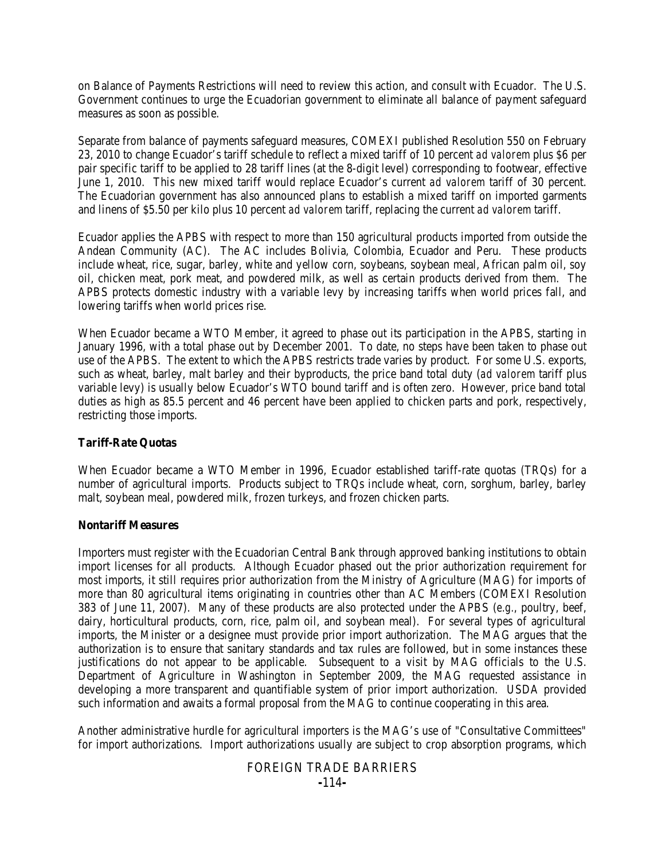on Balance of Payments Restrictions will need to review this action, and consult with Ecuador. The U.S. Government continues to urge the Ecuadorian government to eliminate all balance of payment safeguard measures as soon as possible.

Separate from balance of payments safeguard measures, COMEXI published Resolution 550 on February 23, 2010 to change Ecuador's tariff schedule to reflect a mixed tariff of 10 percent *ad valorem* plus \$6 per pair specific tariff to be applied to 28 tariff lines (at the 8-digit level) corresponding to footwear, effective June 1, 2010. This new mixed tariff would replace Ecuador's current *ad valorem* tariff of 30 percent. The Ecuadorian government has also announced plans to establish a mixed tariff on imported garments and linens of \$5.50 per kilo plus 10 percent *ad valorem* tariff, replacing the current *ad valorem* tariff.

Ecuador applies the APBS with respect to more than 150 agricultural products imported from outside the Andean Community (AC). The AC includes Bolivia, Colombia, Ecuador and Peru. These products include wheat, rice, sugar, barley, white and yellow corn, soybeans, soybean meal, African palm oil, soy oil, chicken meat, pork meat, and powdered milk, as well as certain products derived from them. The APBS protects domestic industry with a variable levy by increasing tariffs when world prices fall, and lowering tariffs when world prices rise.

When Ecuador became a WTO Member, it agreed to phase out its participation in the APBS, starting in January 1996, with a total phase out by December 2001. To date, no steps have been taken to phase out use of the APBS. The extent to which the APBS restricts trade varies by product. For some U.S. exports, such as wheat, barley, malt barley and their byproducts, the price band total duty (*ad valorem* tariff plus variable levy) is usually below Ecuador's WTO bound tariff and is often zero. However, price band total duties as high as 85.5 percent and 46 percent have been applied to chicken parts and pork, respectively, restricting those imports.

#### **Tariff-Rate Quotas**

When Ecuador became a WTO Member in 1996, Ecuador established tariff-rate quotas (TRQs) for a number of agricultural imports. Products subject to TRQs include wheat, corn, sorghum, barley, barley malt, soybean meal, powdered milk, frozen turkeys, and frozen chicken parts.

#### **Nontariff Measures**

Importers must register with the Ecuadorian Central Bank through approved banking institutions to obtain import licenses for all products. Although Ecuador phased out the prior authorization requirement for most imports, it still requires prior authorization from the Ministry of Agriculture (MAG) for imports of more than 80 agricultural items originating in countries other than AC Members (COMEXI Resolution 383 of June 11, 2007). Many of these products are also protected under the APBS (*e.g.*, poultry, beef, dairy, horticultural products, corn, rice, palm oil, and soybean meal). For several types of agricultural imports, the Minister or a designee must provide prior import authorization. The MAG argues that the authorization is to ensure that sanitary standards and tax rules are followed, but in some instances these justifications do not appear to be applicable. Subsequent to a visit by MAG officials to the U.S. Department of Agriculture in Washington in September 2009, the MAG requested assistance in developing a more transparent and quantifiable system of prior import authorization. USDA provided such information and awaits a formal proposal from the MAG to continue cooperating in this area.

Another administrative hurdle for agricultural importers is the MAG's use of "Consultative Committees" for import authorizations. Import authorizations usually are subject to crop absorption programs, which

# FOREIGN TRADE BARRIERS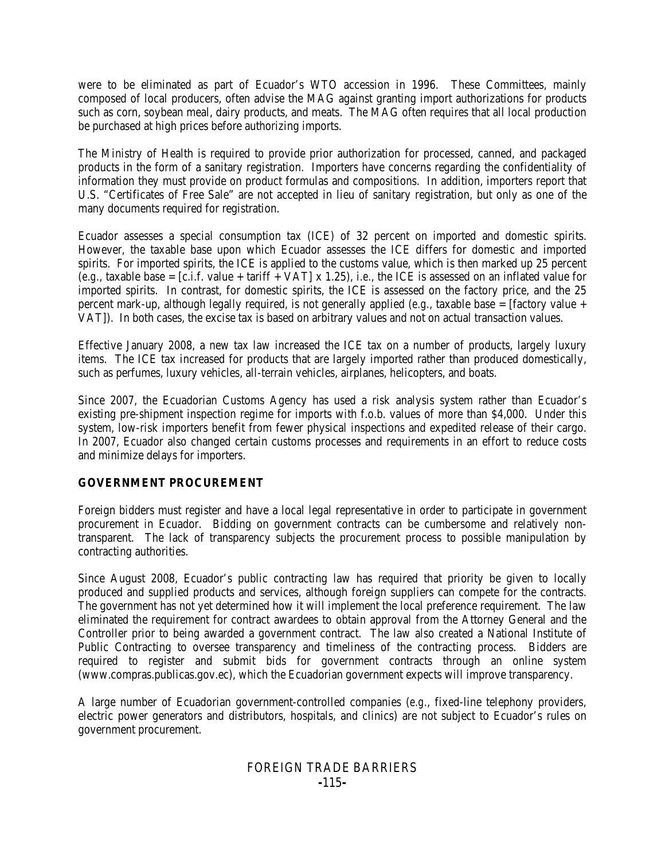were to be eliminated as part of Ecuador's WTO accession in 1996. These Committees, mainly composed of local producers, often advise the MAG against granting import authorizations for products such as corn, soybean meal, dairy products, and meats. The MAG often requires that all local production be purchased at high prices before authorizing imports.

The Ministry of Health is required to provide prior authorization for processed, canned, and packaged products in the form of a sanitary registration. Importers have concerns regarding the confidentiality of information they must provide on product formulas and compositions. In addition, importers report that U.S. "Certificates of Free Sale" are not accepted in lieu of sanitary registration, but only as one of the many documents required for registration.

Ecuador assesses a special consumption tax (ICE) of 32 percent on imported and domestic spirits. However, the taxable base upon which Ecuador assesses the ICE differs for domestic and imported spirits. For imported spirits, the ICE is applied to the customs value, which is then marked up 25 percent  $(e.g.,$  taxable base =  $[c.i.f.,$  value + tariff + VAT] x 1.25), *i.e.*, the ICE is assessed on an inflated value for imported spirits. In contrast, for domestic spirits, the ICE is assessed on the factory price, and the 25 percent mark-up, although legally required, is not generally applied (*e.g.*, taxable base = [factory value + VAT]). In both cases, the excise tax is based on arbitrary values and not on actual transaction values.

Effective January 2008, a new tax law increased the ICE tax on a number of products, largely luxury items. The ICE tax increased for products that are largely imported rather than produced domestically, such as perfumes, luxury vehicles, all-terrain vehicles, airplanes, helicopters, and boats.

Since 2007, the Ecuadorian Customs Agency has used a risk analysis system rather than Ecuador's existing pre-shipment inspection regime for imports with f.o.b. values of more than \$4,000. Under this system, low-risk importers benefit from fewer physical inspections and expedited release of their cargo. In 2007, Ecuador also changed certain customs processes and requirements in an effort to reduce costs and minimize delays for importers.

#### **GOVERNMENT PROCUREMENT**

Foreign bidders must register and have a local legal representative in order to participate in government procurement in Ecuador. Bidding on government contracts can be cumbersome and relatively nontransparent. The lack of transparency subjects the procurement process to possible manipulation by contracting authorities.

Since August 2008, Ecuador's public contracting law has required that priority be given to locally produced and supplied products and services, although foreign suppliers can compete for the contracts. The government has not yet determined how it will implement the local preference requirement. The law eliminated the requirement for contract awardees to obtain approval from the Attorney General and the Controller prior to being awarded a government contract. The law also created a National Institute of Public Contracting to oversee transparency and timeliness of the contracting process. Bidders are required to register and submit bids for government contracts through an online system (www.compras.publicas.gov.ec), which the Ecuadorian government expects will improve transparency.

A large number of Ecuadorian government-controlled companies (*e.g.*, fixed-line telephony providers, electric power generators and distributors, hospitals, and clinics) are not subject to Ecuador's rules on government procurement.

# FOREIGN TRADE BARRIERS **-**115**-**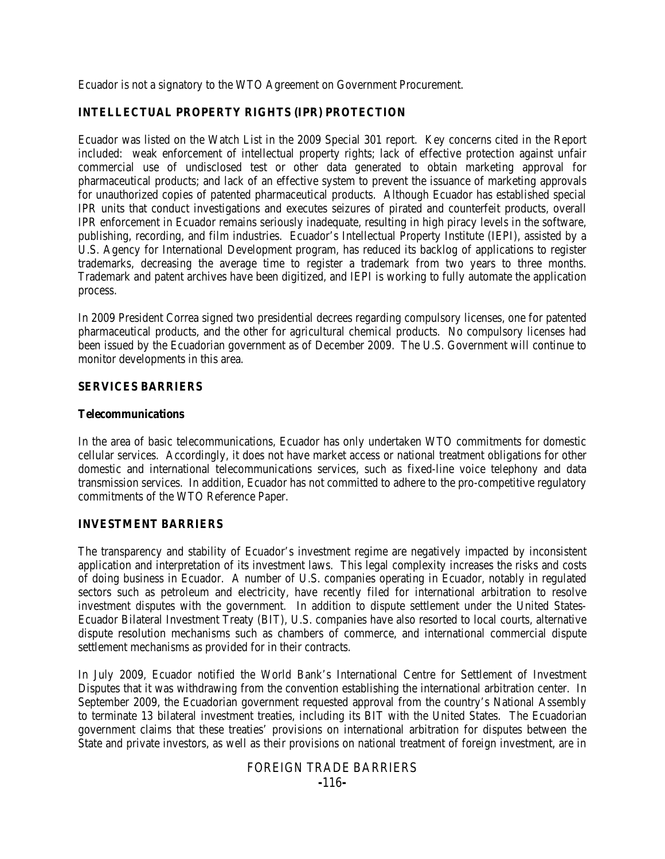Ecuador is not a signatory to the WTO Agreement on Government Procurement.

### **INTELLECTUAL PROPERTY RIGHTS (IPR) PROTECTION**

Ecuador was listed on the Watch List in the 2009 Special 301 report. Key concerns cited in the Report included: weak enforcement of intellectual property rights; lack of effective protection against unfair commercial use of undisclosed test or other data generated to obtain marketing approval for pharmaceutical products; and lack of an effective system to prevent the issuance of marketing approvals for unauthorized copies of patented pharmaceutical products. Although Ecuador has established special IPR units that conduct investigations and executes seizures of pirated and counterfeit products, overall IPR enforcement in Ecuador remains seriously inadequate, resulting in high piracy levels in the software, publishing, recording, and film industries. Ecuador's Intellectual Property Institute (IEPI), assisted by a U.S. Agency for International Development program, has reduced its backlog of applications to register trademarks, decreasing the average time to register a trademark from two years to three months. Trademark and patent archives have been digitized, and IEPI is working to fully automate the application process.

In 2009 President Correa signed two presidential decrees regarding compulsory licenses, one for patented pharmaceutical products, and the other for agricultural chemical products. No compulsory licenses had been issued by the Ecuadorian government as of December 2009. The U.S. Government will continue to monitor developments in this area.

#### **SERVICES BARRIERS**

#### **Telecommunications**

In the area of basic telecommunications, Ecuador has only undertaken WTO commitments for domestic cellular services. Accordingly, it does not have market access or national treatment obligations for other domestic and international telecommunications services, such as fixed-line voice telephony and data transmission services. In addition, Ecuador has not committed to adhere to the pro-competitive regulatory commitments of the WTO Reference Paper.

#### **INVESTMENT BARRIERS**

The transparency and stability of Ecuador's investment regime are negatively impacted by inconsistent application and interpretation of its investment laws. This legal complexity increases the risks and costs of doing business in Ecuador. A number of U.S. companies operating in Ecuador, notably in regulated sectors such as petroleum and electricity, have recently filed for international arbitration to resolve investment disputes with the government. In addition to dispute settlement under the United States-Ecuador Bilateral Investment Treaty (BIT), U.S. companies have also resorted to local courts, alternative dispute resolution mechanisms such as chambers of commerce, and international commercial dispute settlement mechanisms as provided for in their contracts.

In July 2009, Ecuador notified the World Bank's International Centre for Settlement of Investment Disputes that it was withdrawing from the convention establishing the international arbitration center. In September 2009, the Ecuadorian government requested approval from the country's National Assembly to terminate 13 bilateral investment treaties, including its BIT with the United States. The Ecuadorian government claims that these treaties' provisions on international arbitration for disputes between the State and private investors, as well as their provisions on national treatment of foreign investment, are in

# FOREIGN TRADE BARRIERS